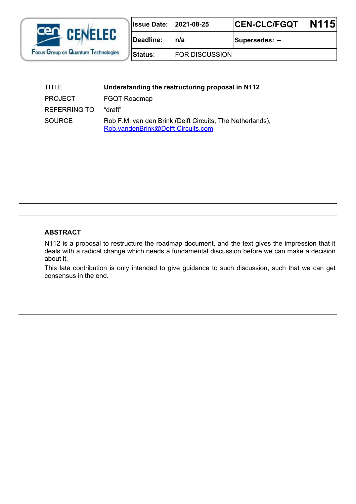

| 2021-08-25<br>ssue Date: |
|--------------------------|
|--------------------------|

 $\begin{bmatrix} \text{Deadline:} & \text{n/a} \\ \text{5} & \text{5} \\ \text{7} & \text{6} \end{bmatrix}$ 

**Status**: FOR DISCUSSION

| TITLE               | Understanding the restructuring proposal in N112                                                |  |
|---------------------|-------------------------------------------------------------------------------------------------|--|
| <b>PROJECT</b>      | <b>FGQT Roadmap</b>                                                                             |  |
| <b>REFERRING TO</b> | "draft"                                                                                         |  |
| SOURCE              | Rob F.M. van den Brink (Delft Circuits, The Netherlands),<br>Rob.vandenBrink@Delft-Circuits.com |  |

## **ABSTRACT**

N112 is a proposal to restructure the roadmap document, and the text gives the impression that it deals with a radical change which needs a fundamental discussion before we can make a decision about it.

This late contribution is only intended to give guidance to such discussion, such that we can get consensus in the end.